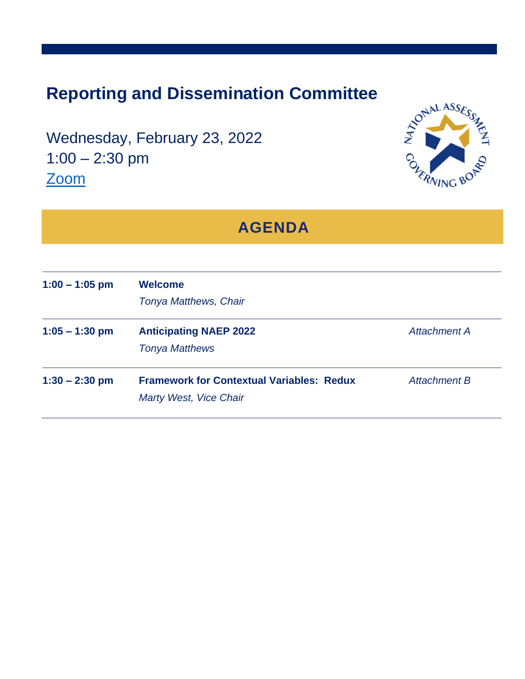## **Reporting and Dissemination Committee**

Wednesday, February 23, 2022 1:00 – 2:30 pm [Zoom](https://us02web.zoom.us/webinar/register/WN_MEvTc58wST2BL_RY60EdxA)



| <b>AGENDA</b>    |                                                                            |                     |
|------------------|----------------------------------------------------------------------------|---------------------|
| $1:00 - 1:05$ pm | <b>Welcome</b><br><b>Tonya Matthews, Chair</b>                             |                     |
| $1:05 - 1:30$ pm | <b>Anticipating NAEP 2022</b><br><b>Tonya Matthews</b>                     | Attachment A        |
| $1:30 - 2:30$ pm | <b>Framework for Contextual Variables: Redux</b><br>Marty West, Vice Chair | <b>Attachment B</b> |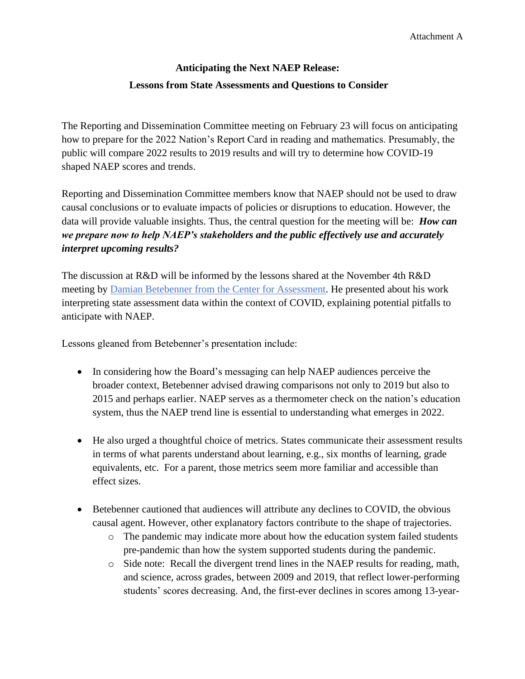## **Anticipating the Next NAEP Release: Lessons from State Assessments and Questions to Consider**

The Reporting and Dissemination Committee meeting on February 23 will focus on anticipating how to prepare for the 2022 Nation's Report Card in reading and mathematics. Presumably, the public will compare 2022 results to 2019 results and will try to determine how COVID-19 shaped NAEP scores and trends.

Reporting and Dissemination Committee members know that NAEP should not be used to draw causal conclusions or to evaluate impacts of policies or disruptions to education. However, the data will provide valuable insights. Thus, the central question for the meeting will be: *How can we prepare now to help NAEP's stakeholders and the public effectively use and accurately interpret upcoming results?*

The discussion at R&D will be informed by the lessons shared at the November 4th R&D meeting by [Damian Betebenner from the Center for Assessment.](https://www.nciea.org/about-us/team/consultant/damian-betebenner) He presented about his work interpreting state assessment data within the context of COVID, explaining potential pitfalls to anticipate with NAEP.

Lessons gleaned from Betebenner's presentation include:

- In considering how the Board's messaging can help NAEP audiences perceive the broader context, Betebenner advised drawing comparisons not only to 2019 but also to 2015 and perhaps earlier. NAEP serves as a thermometer check on the nation's education system, thus the NAEP trend line is essential to understanding what emerges in 2022.
- He also urged a thoughtful choice of metrics. States communicate their assessment results in terms of what parents understand about learning, e.g., six months of learning, grade equivalents, etc. For a parent, those metrics seem more familiar and accessible than effect sizes.
- Betebenner cautioned that audiences will attribute any declines to COVID, the obvious causal agent. However, other explanatory factors contribute to the shape of trajectories.
	- o The pandemic may indicate more about how the education system failed students pre-pandemic than how the system supported students during the pandemic.
	- o Side note: Recall the divergent trend lines in the NAEP results for reading, math, and science, across grades, between 2009 and 2019, that reflect lower-performing students' scores decreasing. And, the first-ever declines in scores among 13-year-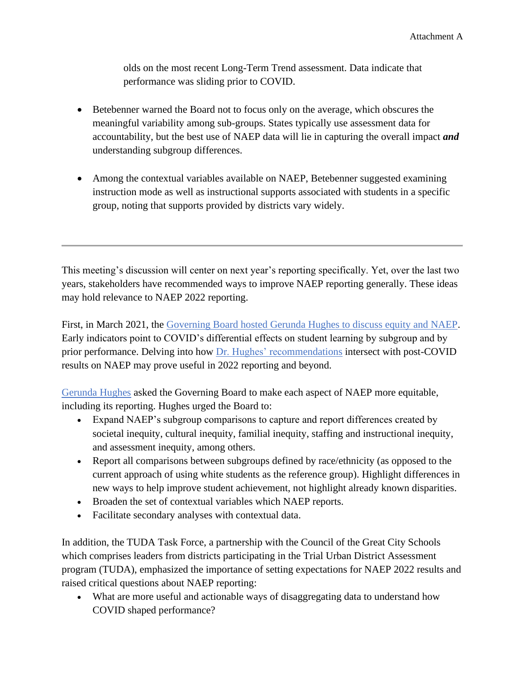olds on the most recent Long-Term Trend assessment. Data indicate that performance was sliding prior to COVID.

- Betebenner warned the Board not to focus only on the average, which obscures the meaningful variability among sub-groups. States typically use assessment data for accountability, but the best use of NAEP data will lie in capturing the overall impact *and* understanding subgroup differences.
- Among the contextual variables available on NAEP, Betebenner suggested examining instruction mode as well as instructional supports associated with students in a specific group, noting that supports provided by districts vary widely.

This meeting's discussion will center on next year's reporting specifically. Yet, over the last two years, stakeholders have recommended ways to improve NAEP reporting generally. These ideas may hold relevance to NAEP 2022 reporting.

First, in March 2021, the [Governing Board hosted Gerunda Hughes to discuss equity and NAEP.](https://www.nagb.gov/content/dam/nagb/en/documents/what-we-do/quarterly-board-meeting-materials/2021-05/3_Recommendations-on-Equity-and-NAEP-small-group-discussions.pdf) Early indicators point to COVID's differential effects on student learning by subgroup and by prior performance. Delving into how [Dr. Hughes' recommendations](https://www.nagb.gov/content/dam/nagb/en/documents/what-we-do/Equitable_Measurement_NAGB_Hughes.pptx) intersect with post-COVID results on NAEP may prove useful in 2022 reporting and beyond.

[Gerunda Hughes](https://www.nagb.gov/content/dam/nagb/en/documents/what-we-do/quarterly-board-meeting-materials/2021-05/3_Recommendations-on-Equity-and-NAEP-small-group-discussions.pdf) asked the Governing Board to make each aspect of NAEP more equitable, including its reporting. Hughes urged the Board to:

- Expand NAEP's subgroup comparisons to capture and report differences created by societal inequity, cultural inequity, familial inequity, staffing and instructional inequity, and assessment inequity, among others.
- Report all comparisons between subgroups defined by race/ethnicity (as opposed to the current approach of using white students as the reference group). Highlight differences in new ways to help improve student achievement, not highlight already known disparities.
- Broaden the set of contextual variables which NAEP reports.
- Facilitate secondary analyses with contextual data.

In addition, the TUDA Task Force, a partnership with the Council of the Great City Schools which comprises leaders from districts participating in the Trial Urban District Assessment program (TUDA), emphasized the importance of setting expectations for NAEP 2022 results and raised critical questions about NAEP reporting:

• What are more useful and actionable ways of disaggregating data to understand how COVID shaped performance?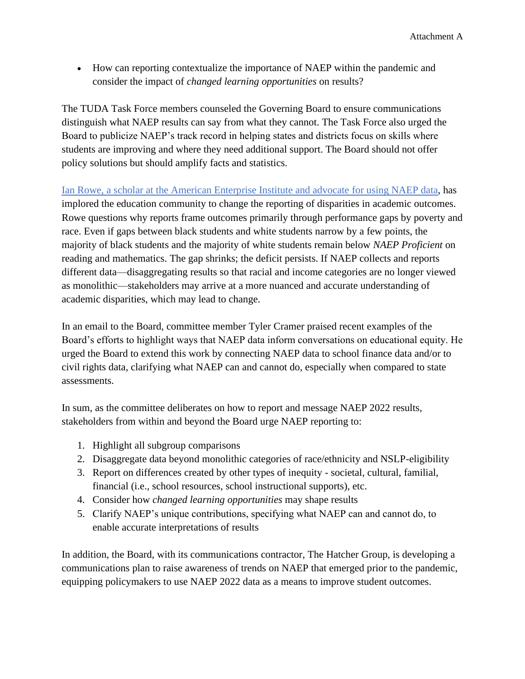• How can reporting contextualize the importance of NAEP within the pandemic and consider the impact of *changed learning opportunities* on results?

The TUDA Task Force members counseled the Governing Board to ensure communications distinguish what NAEP results can say from what they cannot. The Task Force also urged the Board to publicize NAEP's track record in helping states and districts focus on skills where students are improving and where they need additional support. The Board should not offer policy solutions but should amplify facts and statistics.

[Ian Rowe, a scholar at the American Enterprise Institute and advocate](https://www.eduwonk.com/2021/07/ian-v-rowe-distance-to-100-for-everyone-vs-closing-racial-or-achievement-gaps.html) for using NAEP data, has implored the education community to change the reporting of disparities in academic outcomes. Rowe questions why reports frame outcomes primarily through performance gaps by poverty and race. Even if gaps between black students and white students narrow by a few points, the majority of black students and the majority of white students remain below *NAEP Proficient* on reading and mathematics. The gap shrinks; the deficit persists. If NAEP collects and reports different data—disaggregating results so that racial and income categories are no longer viewed as monolithic—stakeholders may arrive at a more nuanced and accurate understanding of academic disparities, which may lead to change.

In an email to the Board, committee member Tyler Cramer praised recent examples of the Board's efforts to highlight ways that NAEP data inform conversations on educational equity. He urged the Board to extend this work by connecting NAEP data to school finance data and/or to civil rights data, clarifying what NAEP can and cannot do, especially when compared to state assessments.

In sum, as the committee deliberates on how to report and message NAEP 2022 results, stakeholders from within and beyond the Board urge NAEP reporting to:

- 1. Highlight all subgroup comparisons
- 2. Disaggregate data beyond monolithic categories of race/ethnicity and NSLP-eligibility
- 3. Report on differences created by other types of inequity societal, cultural, familial, financial (i.e., school resources, school instructional supports), etc.
- 4. Consider how *changed learning opportunities* may shape results
- 5. Clarify NAEP's unique contributions, specifying what NAEP can and cannot do, to enable accurate interpretations of results

In addition, the Board, with its communications contractor, The Hatcher Group, is developing a communications plan to raise awareness of trends on NAEP that emerged prior to the pandemic, equipping policymakers to use NAEP 2022 data as a means to improve student outcomes.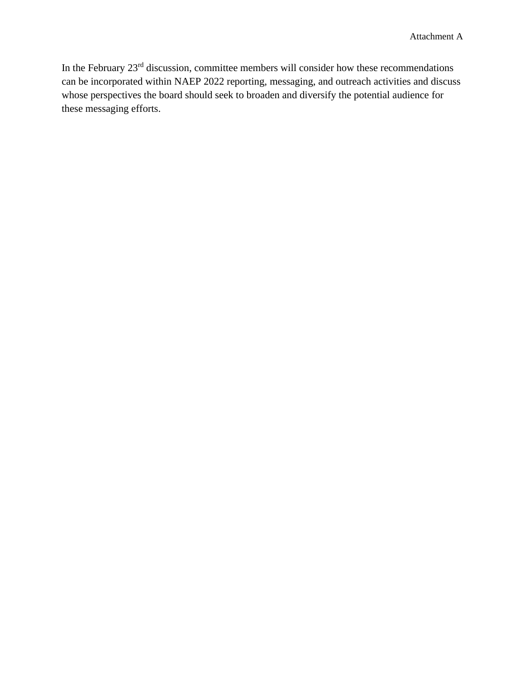In the February 23rd discussion, committee members will consider how these recommendations can be incorporated within NAEP 2022 reporting, messaging, and outreach activities and discuss whose perspectives the board should seek to broaden and diversify the potential audience for these messaging efforts.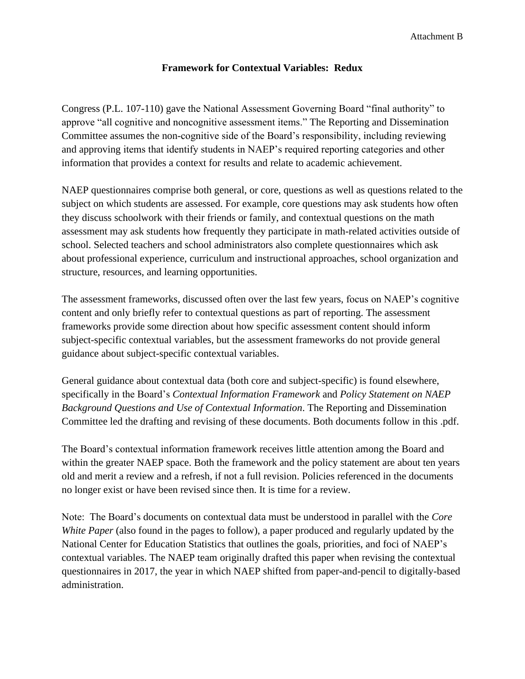## **Framework for Contextual Variables: Redux**

Congress (P.L. 107-110) gave the National Assessment Governing Board "final authority" to approve "all cognitive and noncognitive assessment items." The Reporting and Dissemination Committee assumes the non-cognitive side of the Board's responsibility, including reviewing and approving items that identify students in NAEP's required reporting categories and other information that provides a context for results and relate to academic achievement.

NAEP questionnaires comprise both general, or core, questions as well as questions related to the subject on which students are assessed. For example, core questions may ask students how often they discuss schoolwork with their friends or family, and contextual questions on the math assessment may ask students how frequently they participate in math-related activities outside of school. Selected teachers and school administrators also complete questionnaires which ask about professional experience, curriculum and instructional approaches, school organization and structure, resources, and learning opportunities.

The assessment frameworks, discussed often over the last few years, focus on NAEP's cognitive content and only briefly refer to contextual questions as part of reporting. The assessment frameworks provide some direction about how specific assessment content should inform subject-specific contextual variables, but the assessment frameworks do not provide general guidance about subject-specific contextual variables.

General guidance about contextual data (both core and subject-specific) is found elsewhere, specifically in the Board's *Contextual Information Framework* and *Policy Statement on NAEP Background Questions and Use of Contextual Information*. The Reporting and Dissemination Committee led the drafting and revising of these documents. Both documents follow in this .pdf.

The Board's contextual information framework receives little attention among the Board and within the greater NAEP space. Both the framework and the policy statement are about ten years old and merit a review and a refresh, if not a full revision. Policies referenced in the documents no longer exist or have been revised since then. It is time for a review.

Note: The Board's documents on contextual data must be understood in parallel with the *Core White Paper* (also found in the pages to follow), a paper produced and regularly updated by the National Center for Education Statistics that outlines the goals, priorities, and foci of NAEP's contextual variables. The NAEP team originally drafted this paper when revising the contextual questionnaires in 2017, the year in which NAEP shifted from paper-and-pencil to digitally-based administration.